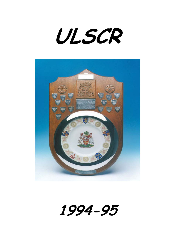**ULSCR**



**1994-95**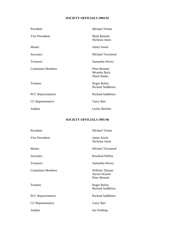## **SOCIETY OFFICIALS 1994-95**

| Michael Trimm                                   |
|-------------------------------------------------|
| Mark Bennett<br>Nicholas Jones                  |
| James Sawle                                     |
| <b>Michael Townsend</b>                         |
| Samantha Hovey                                  |
| Peter Bennett<br>Miranda Buck<br>Diane Banks    |
| <b>Roger Bailey</b><br><b>Richard Saddleton</b> |
| <b>Richard Saddleton</b>                        |
| Garry Barr                                      |
| Lesley Belcher                                  |
|                                                 |

## **SOCIETY OFFICIALS 1995-96**

| Michael Trimm                                                  |
|----------------------------------------------------------------|
| James Sawle<br>Nicholas Jones                                  |
| <b>Michael Townsend</b>                                        |
| <b>Rosalind Palfrey</b>                                        |
| Samantha Hovey                                                 |
| <b>William Thomas</b><br><b>Steven Warren</b><br>Peter Bennett |
| <b>Roger Bailey</b><br><b>Richard Saddleton</b>                |
| <b>Richard Saddleton</b>                                       |
| Garry Barr                                                     |
| Ian Fielding                                                   |
|                                                                |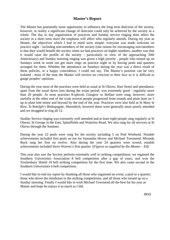## **Master's Report**

The Master has potentially more opportunity to influence the long term direction of the society, however, in reality a significant change of direction could only be achieved by the society as a whole. The day to day organisation of practices and Sunday service ringing does affect the society in a short term since the emphasis will affect who regularly attends. During my year as Master, the objectives which I had in mind were simple: everyone was made welcome on practice night - including non-members of the society (one reason for encouraging non-members is that they would benefit the society when we had practices on higher numbers, another was that it would raise the profile of the society - particularly in view of the approaching 50th Anniversary) and Sunday morning ringing was given a high priority - people who turned up on Sundays week in week out got more rings on practice night or by having peals and quarters arranged for them. Whether the attendance on Sundays during the year was a direct result of these policies, or a happy coincidence, I could not say. The Master's position can be very isolated - most of the time the Master will receive no criticism to their face so it is difficult to gauge peoples' opinions.

During the year most of the practises were held as usual at St Olaves, Hart Street and attendance, apart from the usual down turn during the exam period, was extremely good - regularly more than 20 people. At most practises 8-spliced, Glasgow or Belfast were rung, however, more usefully at the other end of the scale several people progressed from rounds and plain hunt on 5 up to plain bob minor and beyond by the end of the year. Practices were also held at St Mary le Bow, St Botolph's Bishopsgate, Shoreditch, however these were generally more poorly attended and we struggled to ring all 12.

Sunday Service ringing was extremely well attended and at least eight people rang regularly at St Olaves, St George in the East, Spitalfields and Waterloo Road. We also rang for all services at St Olaves through the Summer.

During the year 22 peals were rung for the society including 5 on Peal Weekend. Notable achievements included first peals on ten for Samantha Hovey and Michael Townsend; Miranda Buck rang her first on twelve. Also during the year 24 quarters were scored, notable achievements included Steve Warren's first quarter. (*Figures as supplied by the Master – Ed)*

This year also saw the Society perform extremely well in striking competitions: we regained the Southern Universities Association 8 bell competition after a gap of years, and won the Tewkesbury Shield 10 bell striking competition for the first time. We also came second in the Southern Universities 6 bell competition.

I would like to end my report by thanking all those who organised an event, a peal or a quarter; those who drove the minibuses to the striking competitions, and all those who turned up on a Sunday morning. Finally I would like to wish Michael Townsend all the best for his year as Master and hope he enjoys it as much as I did.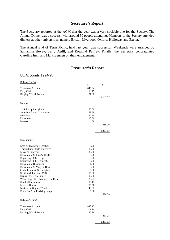## **Secretary's Report**

The Secretary reported at the AGM that the year was a very sociable one for the Society. The Annual Dinner was a success, with around 50 people attending. Members of the Society attended dinners at other universities; namely Bristol, Liverpool, Oxford, Holloway and Exeter.

The Annual End of Term Picnic, held last year, was successful. Weekends were arranged by Samantha Hovey, Terry Astill, and Rosalind Palfrey. Finally, the Secretary congratulated Caroline Imm and Mark Bennett on their engagement.

## **Treasurer's Report**

### UL Accounts 1994-95

| <b>Balance 1.4.94</b>                    |          |          |
|------------------------------------------|----------|----------|
|                                          | £        | £        |
| <b>Treasurers Account</b>                | 1,046.64 |          |
| Petty Cash                               | 13.75    |          |
| <b>Ringing World Account</b>             | 81.88    |          |
|                                          |          | 1,142.27 |
| <b>Income</b>                            |          |          |
|                                          | 60.00    |          |
| 12 Subscriptions $@$ £5                  | 69.68    |          |
| Steeplage from UL practices<br>Peal Fees | 67.50    |          |
| Donations                                | 113.50   |          |
| Interest                                 |          |          |
|                                          | 4.58     |          |
|                                          |          | 315.26   |
|                                          |          | 1,457.53 |
|                                          |          |          |
| Expenditure                              |          |          |
| Loss on Freshers' Reception              | 9.00     |          |
| Tewkesbury Shield Entry Fee              | 10.00    |          |
| <b>Master's Expenses</b>                 | 30.00    |          |
| Donation to St Luke's, Chelsea           | 5.00     |          |
| Engraving - 8-bell cup                   | 8.00     |          |
| Engraving - 6-bell cup 1993              | 5.90     |          |
| Donation to Bishopsgate                  | 4.50     |          |
| Donation to St Mary-le-Bow               | 5.00     |          |
| <b>Central Council Subscription</b>      | 6.00     |          |
| Southwark Practices 1994                 | 15.00    |          |
|                                          |          |          |
| Deposit for 1995 Dinner                  | 100.00   |          |
| Whitechapel Bell Foundry - muffles       | 120.23   |          |
| Handbell Insurance                       | 15.17    |          |
| Loss on Dinner                           | 186.56   |          |
| Notices in Ringing World                 | 43.92    |          |
| Entry Fee 6 bell striking comp.          | 6.00     | 570.28   |
|                                          |          |          |
| <b>Balance 31.3.95</b>                   |          |          |
| <b>Treasurers Account</b>                | 848.15   |          |
| Petty Cash                               | 1.14     |          |
| Ringing World Account                    | 37.96    |          |
|                                          |          | 887.25   |
|                                          |          | 1,457.53 |
|                                          |          |          |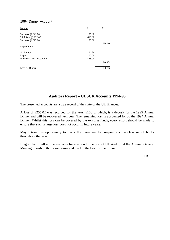## 1994 Dinner Account

| Income                     | £      | £      |
|----------------------------|--------|--------|
| 5 tickets @ £21.00         | 105.00 |        |
| 28 tickets @ £22.00        | 616.00 |        |
| 3 tickets @ £25.00         | 75.00  |        |
|                            |        | 796.00 |
| Expenditure                |        |        |
| Stationery                 | 14.56  |        |
| Deposit                    | 100.00 |        |
| Balance - Dan's Restaurant | 868.00 |        |
|                            |        | 982.56 |
| Loss on Dinner             |        | 186.56 |

## **Auditors Report – ULSCR Accounts 1994-95**

The presented accounts are a true record of the state of the UL finances.

A loss of £255.02 was recorded for the year; £100 of which, is a deposit for the 1995 Annual Dinner and will be recovered next year. The remaining loss is accounted for by the 1994 Annual Dinner. Whilst this loss can be covered by the existing funds, every effort should be made to ensure that such a large loss does not occur in future years.

May I take this opportunity to thank the Treasurer for keeping such a clear set of books throughout the year.

I regret that I will not be available for election to the post of UL Auditor at the Autumn General Meeting. I wish both my successor and the UL the best for the future.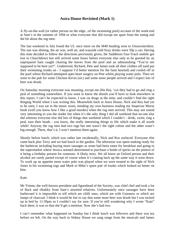## **Astra House Revisited (Mark 1)**

A fly-on-the-wall (or rather person on the edge...of the swimming pool) account of the week-end at Sam's in the summer of 1994 or what everyone else did except me apart from the eating and the bit about the rug men.

The last weekend in July found the UL once more on the M40 heading west to Gloucestershire. The sun was shining, the air was, well air, and wayside cold fizzy drinks were 50p a can. Having this time decided to follow the directions previously given, the Saddleton Fast-Track mobile got lost in Churchdown but still arrived some hours before everyone else only to be greeted by an unprepared Sam caught clearing the leaves from the pool and an admonishing "You're not supposed to be here yet!". Undeterred, Richard, Pete and James took all their clothes off (and put their swimming trunks on - I suppose I'd better mention for the faint hearted) and cooled off in the pool where Richard attempted open heart surgery on Pete whilst playing water polo. Then we went to the pub for some Chicken Kevin (sic) and some more people arrived and I expect lots of beer was drunk.

On Saturday morning everyone was moaning, except me (Ha Ha), 'cos they had to go and ring a peal of something somewhere. If you want to know the details you'll have to look elsewhere in this report. I can't be expected to know, I was on drugs at the time, and couldn't find the right Ringing World when I was writing this. Meanwhile back at Astra House, Nick and Roz had yet to be seen, I was sat in the music room, minding my own business reading my Inspector Morse book (well you know how I like a good murder) when the rug men arrived. This may not sound very interesting to you the reader but when it's the only thing I did all weekend that no-one else did whereas everyone else did lots of things that weekend which I couldn't - drink, swim, ring a peal, turn their heads - you know, the really interesting things in life which make it all worth while! Anyway the rug men had two rugs but one wasn't the right colour and the other wasn't big enough. There, that's it, I won't mention them again.

Shortly before lunch, which was rather late incidentally, Nick and Roz surfaced. Everyone else came back plus Terry and we had lunch in the garden. The afternoon was spent making ready for the barbecue including buying more sausages as some had been eaten for breakfast and going to the supermarket where Jessica seemed determined to purchase a bottle of spirits on the pretext of it being a birthday present for someone. A likely story. We all know an Oxford person and their alcohol are rarely parted except of course when it's coming back up the same way it went down. To work up an appetite more water polo was played when we were treated to the sight of Nick Jones in his swimming togs and Mark in Mike's spare pair of trunks which looked no better on him.

Kate.

Mr Trimm, the well-known president and figurehead of the Society, was chief chef and took a lot of flack and ribaldry from Sam's assorted relatives. Unfortunately once sausages have been barbecued it is impossible to tell which are chilli ones, which are with Guinness or which are lumps of charcoal. I think it would be fair to say that some more beer was drunk but I was tucked up in bed by 11:30pm so I couldn't say for sure. If you're still wondering why I wrote "Kate" back there, it was so that she'd get a mention. Now she's had two.

I can't remember what happened on Sunday but I think lunch was leftovers and there was tea before we left. On the way back to Sidney House we sang songs from the musicals and James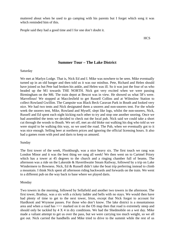muttered about when he used to go camping with his parents but I forget which song it was which reminded him of this.

People said they had a good time and I for one don't doubt it.

**HCS** 

## **Summer Tour – The Lake District**

### Saturday

We met at Marlyn Lodge. That is, Nick Ed and I. Mike was nowhere to be seen. Mike eventually turned up in an old banger and then told us it was our minibus. Pete, Richard and Helen should have joined us but Pete had broken his ankle, and Helen was ill. So it was just the four of us who headed up the M1 towards THE NORTH. Nick got very excited when we were passing Birmingham on the M6. The train depot at Bescot was in view. He showed us what 58's were. Marvellous! We stopped at Macclesfield to get Russell Collins and at Wilmslow Station to collect Rowland Gwillim. The Campsite was Black Beck Caravan Park in Bouth and looked very nice. We had two tents and Nick designated them a snorers and non-snorers tent. For the whole week the snorers tent, Mike, Rowland and Myself, slept like logs, whilst the non-snorers, Nick, Russell and Ed spent each night kicking each other to try and stop one another snoring. Once we had assembled the tents we decided to check out the local pub. Nick said we could take a short cut through the woods to Bouth. We set off, met an old bloke out walking his dog who told us we were stupid to be walking this way, so we used the road. The Pub, when we eventually got to it was nice enough. Selling beer at northern prices and ignoring the official licensing hours. It also had a games room with pool and darts to keep us amused.

### Sunday

The first tower of the week, Flookburgh, was a nice heavy six. The first touch we rang was London Minor and it was the best thing we rang all week! We then went on to Cartmel Priory which has a tower at 45 degrees to the church and a ringing chamber full of beams. The afternoon was a ride on the Lakeside & Haverthwaite Steam Railway, followed by a trip on Lake Windermere to Bowness. Nick, Ed & Russell didn't take the boat trip preferring instead to climb a mountain. I think Nick spent all afternoon riding backwards and forwards on the train. We went to a different pub on the way back to base where we played darts.

### Monday

Two towers in the morning, followed by Sellafield and another two towers in the afternoon. The first tower, Brathay, was a six with a rickety ladder and bells with no stays. We would then have had plenty of time to get to the next tower, Irton, except that Nick forgot to account for Hardknott and Wrynose passes. For those who don't know. The lake district is a mountainous area and when a road has >>> marked on it on the OS map then that road is extremely steep and should only be tackled by  $4 \times 4$  in dry conditions. We had the Shedmobile on a wet day. Mike made a valiant attempt to get us over the pass, but we were carrying too much weight, so we all got out. Nick carried the handbells and Mike tried to drive to the summit while the rest of us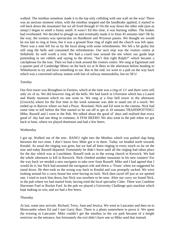walked. The minibus somehow made it to the top only colliding with one wall on the way! There was an anxious moment when, with the minibus stopped and the handbrake applied, it started to roll back down the mountain! but we all lived through it! On the way down the other side (just as steep) I began to smell a funny smell. It wasn't Ed this time, it was burning rubber. The brakes had overheated. We decided to plough on and eventually made it to Irton 45 minutes late! Oh by the way, the scenery was spectacular on Hardknott and Wrynose passes. We thought we would be too late to ring at Irton, but it was a ground floor ring of eight and the church was left open. There was a note left for us by the local along with some refreshments. We felt a bit guilty but still rang the bells and consumed the refreshments. Our next stop was the visitors centre at Sellafield. Its well worth a visit. We had a coach tour around the site where our guide kept pretending to see rabbits and saying to the driver, "Isn't that right Ralph?" which became a catchphrase for the tour. Then we had a look around the visitors centre. We rang at Egremont and a quarter peal of Cambridge Minor on the back six at St Bees in the afternoon before heading to Whitehaven to try and have something to eat. But in the end, we went to a pub on the way back which was a converted railway station with lots of railway memorabilia, but no 58's!

### Tuesday

Our first tower was Broughton in Furness, which at the time was a ring of 11! and there were still only six of us. We did however ring all the bells. We had lunch in Ulverston which has a Laurel and Hardy museum which no one went to. We rang at a four bell tower in the afternoon (Urswick) where for the first time in the week someone was able to stand out of a touch. We ended up in Barrow where we had a Pizza. Rowland, Nick and Ed went to the cinema. Nick had some time to kill before the film started so he ran off to get in 10 minutes TRAINSPOTTING! Mike, Russell and I went to the Pub. We talked about the good ol' days and realised that every good ol' day had one thing in common, A FEW BEERS! We also went to the pub when we got back to base, where we played dominoes and had a few beers.

### Wednesday

I got up. Walked out of the tent.. BANG! right into the Minibus which was parked slap bang between the two tents. I don't know how Mike got it in there. Today we headed north towards Kendal. As usual the ringing was grim, but we had all been ringing in every touch so far on the tour and today Russell departed. Fortunately he didn't leave until all the ringing had taken place for the day which was at Lunchtime. Russell took us to the wrong church in Keswick. We had the whole afternoon to kill in Keswick. Nick climbed another mountain in his new trainers! For the way back we needed a new navigator to take over from Russell. Mike and I had agreed that I would do it, but Nick had assumed the navigators role and threw a 'Fiona' when we suggested he stand down. He then took us the wrong way back to Kendal and was promptly sacked. We were looking around for a curry house but were having no luck. Nick then raced off just as we spotted one. I tried to track him down, but Nick was nowhere to be seen. After our curry we found Nick, in the pub where we had started from, having tried the local speciality Cider. There was Combine Harvester Fuel or Rocket Fuel. In the pub we played a University Challenge quiz machine which kept making us win, and we had a few beers.

### Thursday

At last, some new arrivals. Richard, Terry, Sam and Jessica. We went to Lancaster and then on to Morecambe where Ed and I met Garry Barr. There is a photo somewhere to prove it. We spent the evening in Lancaster. Mike couldn't get the minibus in the car park because of a height restrictor on the entrance, but fortunately the exit didn't have one so Mike used that instead.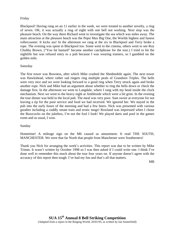### Friday

Blackpool! Having rung on an 11 earlier in the week, we were treated to another novelty, a ring of seven. OK, it was actually a ring of eight with one bell not working. Next stop was the pleasure beach. On the way there Richard went to investigate the sea which was miles away. The main attraction at the pleasure beach was the Pepsi Max Big One, the Worlds highest and fastest rollercoaster. It kicks ass! In the afternoon we rang at the six in Blackpool and Terry broke a rope. The evening was spent in Blackpool too. Some went to the cinema, others went to see Roy Chubby Brown. ("You fat bastard" became another catchphrase for the tour.) I tried to hit the nightlife but was refused entry to a pub because I was wearing trainers, so I gambled on the golden mile.

### Saturday

The first tower was Bowness, after which Mike crashed the Shedmobile again. The next tower was Hawkshead, where rather sad ringers ring multiple peals of Grandsire Triples. The bells were very nice and we were looking forward to a good ring when Terry struck again and broke another rope. Nick and Mike had an argument about whether to ring the bells down or check the damage first. In the afternoon we went to Langdale, where I rang with my head inside the clock mechanism. Next we went to the heavy eight at Ambleside which were a bit grim. In the evening the tour dinner was held in the local pub. The meal was very poor. Sam swore at everyone for not leaving a tip for the poor service and food we had received. We ignored her. We stayed in the pub into the early hours of the morning and had a few beers. Nick was presented with various goodies including a cuddly steam train and erotic mugs! Rowland was impressed when I chose the Buzzcocks on the jukebox, I'm not the fool I look! We played darts and pool in the games room and as usual, I won.

### Sunday

Hometime! A mileage sign on the M6 caused us amusement. It read THE SOUTH, MANCHESTER. We were that far North that people from Manchester were Southerners!

Thank you Nick for arranging the week's activities. This report was due to be written by Mike Trimm. It wasn't written by October 1998 so I was then asked if I could write one. I think I've done well to remember this much about the tour four years on. If anyone doesn't agree with the accuracy of this report then tough. I've had my fun and that's all that matters.

MB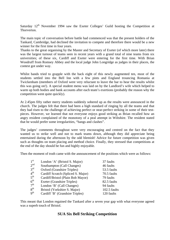Saturday  $12<sup>th</sup>$  November 1994 saw the Exeter Colleges' Guild hosting the Competition at Thorverton.

The main topic of conversation before battle had commenced was that the present holders of the Tankard, Cambridge, had declined the invitation to compete and therefore there would be a new winner for the first time in four years.

Thanks to the great organising by the Master and Secretary of Exeter (of which more later) there was the largest turnout of teams seen in recent years with a grand total of nine teams from six universities; of these six, Cardiff and Exeter were entering for the first time. With Brian Woodruff from Romsey Abbey and the local judge John Longridge as judges in their places, the contest got under way.

Whilst bands tried to grapple with the back eight of this newly augmented ten, most of the students settled into the Bell Inn with a few pints and England trouncing Romania at Twickenham (members of Oxford were very reluctant to leave the bar to hear the results whilst this was going on!). A special student menu was laid on by the Landlord's wife which helped to warm up both bodies and bank accounts after each team's exertions (probably the reason why the competition went quite quickly).

At 2.45pm fifty rather merry students suddenly sobered up as the results were announced in the church. The judges felt that there had been a high standard of ringing by all the teams and that they had risen to the challenge of achieving perfect or near-perfect striking in some of their testpieces. However, we learned that not everyone enjoys good striking as Brian recalled how an angry resident complained of the monotony of a peal attempt in Wiltshire. The resident stated that he would prefer some irregularities, "bangs and clashes".

The judges' comments throughout were very encouraging and centred on the fact that they wanted us to strike well and not to mark teams down, although they did appreciate being entertained during the afternoon by the odd blemish! Advice for future competition was given such as thoughts on team placing and method choice. Finally, they stressed that competitions at the end of the day should be fun and highly enjoyable.

Then the moment of truth came with the announcement of the positions which were as follows:

| 1 <sup>st</sup> | London 'A' (Bristol S. Major)      | 37 faults    |
|-----------------|------------------------------------|--------------|
| 2 <sup>nd</sup> | Southampton (Call Changes)         | 46 faults    |
| $3^{\text{rd}}$ | Oxford (Grandsire Triples)         | 53.5 faults  |
| $4^{\rm th}$    | Cardiff Scratch (Spliced S. Major) | 70.5 faults  |
| 5 <sup>th</sup> | Cardiff/Bristol (Plain Bob Mayor)  | 79 faults    |
| 6 <sup>th</sup> | <b>Exeter (Grandsire Triples)</b>  | 82.5 faults  |
| 7 <sup>th</sup> | London 'B' (Call Changes)          | 94 faults    |
| 8 <sup>th</sup> | Bristol (Yorkshire S. Major)       | 102.5 faults |
| 9 <sup>th</sup> | Cardiff 'B' (Grandsire Triples)    | 120 faults   |
|                 |                                    |              |

This meant that London regained the Tankard after a seven year gap with what everyone agreed was a superb touch of Bristol.

## **SUA Six Bell Striking Competition**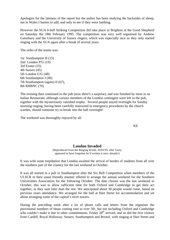Apologies for the lateness of the report but the author has been studying the backsides of sheep, not in Wales I hasten to add, and only to see if they were lambing.

However the SUA 6-bell Striking Competition did take place in Brighton at the Good Shepherd on Saturday the 18th February 1995. The competition was very well organised by Andrew Gainsbury and the University of Sussex ringers, which was especially nice as they only started ringing with the SUA again after a break of several years.

The order of the teams was:

1st Southampton B (15) 2nd London P/G (19) 3rd Exeter (35) 4th Sussex (45) 5th London U/G (48) 6th Southampton I (49) 7th Southampton (again) II (67), 8th RHBNC (70)

The evening then continued in the pub (now there's a surprise), and was finished by most in an Italian Restaurant, although various members of the London contingent were left in the pub, together with the mysteriously vanished trophy. Several people stayed overnight for Sunday morning ringing, having been carefully instructed in emergency procedures by the church warden, should someone try to break into the hall overnight!

The weekend was thoroughly enjoyed by all.

KE

## **London Invaded**

(Reproduced from the Ringing World, 20/01/95, after Garry appeared to have forgotten he'd written it once already!)

It was with some trepidation that London awaited the arrival of hordes of students from all over the southern part of the country for the last weekend in October.

It was all started in a pub in Southampton after the Six Bell Competition when members of the ULSCR in their usual friendly manner offered to arrange the annual weekend for the Southern Universities Association for the following October. The date chosen was the last weekend in October, this was to allow sufficient time for both Oxford and Cambridge to get their act together, as they start later than the rest. We anticipated about 30 people would come, based on previous years attendance. We arranged for the hall at Hart Street for accommodation and set about arranging some of the capital's nicer towers.

During the preceding week after a lot of phone calls and letters from the organiser the provisional numbers of those coming rose to over 50!, but not including Oxford and Cambridge who couldn't make it due to other commitments. Friday  $28<sup>th</sup>$  arrived, and so did the first visitors from Cardiff, Royal Holloway, Sussex, Southampton and Bristol, with ringing at Hart Street and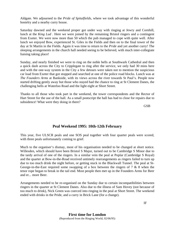Aldgate. We adjourned to the *Pride of Spitalfields*, where we took advantage of this wonderful hostelry and a nearby curry house.

Saturday dawned and the weekend proper got under way with ringing at Jewry and Cornhill, lunch at the *King Lud* . Here we were joined by the remaining Bristol ringers and a contingent from Exeter. We were now more than 50 which the pub managed to cope with quite well. After lunch we enjoyed Bow, experienced St. Giles in the Fields and then on to the final tower of the day at St Martin in the Fields. Again it was time to return to the *Pride* and yet another curry! The sleeping arrangements in the church hall needed seeing to be believed, with much inter-collegiate liaising taking place!

Sunday, and nearly finished we were to ring on the noble bells at Southwark Cathedral and then a quick dash across the City to Cripplegate to ring after the service, we only had 30 mins here and with the one-way system in the City a few detours were taken not to mention the suspicious car load from Exeter that got stopped and searched at one of the police road blocks. Lunch was at *The Founders Arms* at Bankside, with its views across the river towards St Paul's. People now started drifting gently away but those who stayed had the chance to ring at St Clement Danes, the challenging bells at Waterloo Road and the light eight at Short Street.

Thanks to all those who took part in the weekend, the tower correspondents and the Rector of Hart Street for the use of the hall. As a small postscript the hall has had to close for repairs due to subsidence! What were they doing in there?

GSB

## **Peal Weekend 1995: 10th-12th February**

This year, five ULSCR peals and one SOS peal together with four quarter peals were scored, with three peals unfortunately coming to grief.

Much to the organiser's dismay, most of his organisation needed to be changed at short notice. Willesden, which should have been Bristol S Major, turned out to be Cambridge S Minor due to the tardy arrival of one of the ringers. In a similar vein the peal at Poplar (Cambridge S Royal) and the quarter at Bow-in-the-Road received untimely rearrangements as ringers failed to turn up due to too much drink the night before, or getting stuck in the Blackwall Tunnel. The peal at St-George-in-the-East required some swapping of a box between the ringers of 7 & 8 when the tenor rope began to break in the tail end. Most people then met up in the Founders Arms for Beer and er... more Beer.

Arrangements needed to be re-organised on the Sunday due to certain incompatibilities between ringers in the quarter at St Clement Danes. Also due to the illness of Sam Hovey (not because of too much to drink), Nick Green was coerced into ringing in the peal at Short Street. The weekend ended with drinks in the Pride, and a curry in Brick Lane (for a change).

IF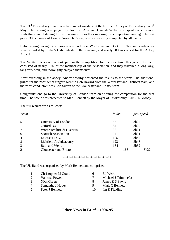The  $23<sup>rd</sup>$  Tewkesbury Shield was held in hot sunshine at the Norman Abbey at Tewkesbury on  $5<sup>th</sup>$ May. The ringing was judged by Andrew, Ann and Hannah Wilby who spent the afternoon sunbathing and listening to the sparrows, as well as marking the competition ringing. The test piece, 305 changes of Double Norwich Caters, was successfully completed by all teams.

Extra ringing during the afternoon was laid on at Woolstone and Beckford. Tea and sandwiches were provided by Ruthy's Café outside in the sunshine, and nearly £80 was raised for the Abbey Appeal.

The Scottish Association took part in the competition for the first time this year. The team consisted of nearly 10% of the membership of the Association, and they travelled a long way, rang very well, and thoroughly enjoyed themselves.

After evensong in the abbey, Andrew Wilby presented the results to the teams. His additional prizes for the "best tenor ringer" went to Bob Havard from the Worcester and Districts team, and the "best conductor" was Eric Sutton of the Gloucester and Bristol team.

Congratulations go to the University of London team on winning the competition for the first time. The shield was presented to Mark Bennett by the Mayor of Tewkesbury, Cllr G.R.Moody.

The full results are as follows:

| Team           |                             | faults | peal speed |
|----------------|-----------------------------|--------|------------|
| 5              | University of London        | 57     | 3h22       |
| $\mathbf{1}$   | Oxford D.G.                 | 84     | 3h29       |
| $\tau$         | Worcestershire & Districts  | 88     | 3h21       |
| 6              | <b>Scottish Association</b> | 94     | 3h31       |
| $\overline{4}$ | Leicester D.G.              | 105    | 3h42       |
| 8              | Lichfield Archdeaconry      | 123    | 3h48       |
| 3              | Bath and Wells              | 134    | 3h32       |
| 2              | Gloucester and Bristol      | 163    | 3h22       |

#### \*\*\*\*\*\*\*\*\*\*\*\*\*\*\*\*\*\*\*\*\*\*\*\*\*\*\*\*

The UL Band was organised by Mark Bennett and comprised:

|                       | Christopher M Gould | h  | Ed Webb               |
|-----------------------|---------------------|----|-----------------------|
| $\mathcal{D}_{\cdot}$ | Vanessa Powell      |    | Michael J Trimm $(C)$ |
| 3                     | Nick Green          | x  | James R S Sawle       |
| $\overline{4}$        | Samantha J Hovey    | Q  | Mark C Bennett        |
| $\overline{5}$        | Peter J Bennett     | 10 | Ian R Fielding        |

## **Other News in Brief – 1994-95**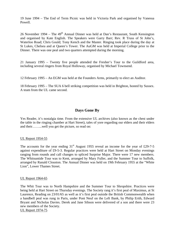19 June 1994 – The End of Term Picnic was held in Victoria Park and organised by Vanessa Powell.

26 November 1994 – The  $49<sup>th</sup>$  Annual Dinner was held at Dan's Restaurant, South Kensington and organised by Kate English. The Speakers were Garry Barr; Rev. R Truss of St John's, Waterloo Road; Chris Gould; Tony Kench and the Master. Ringing took place during the day at St Lukes, Chelsea and at Queen's Tower. The AuGM was held at Imperial College prior to the Dinner. There was one peal and two quarters attempted during the morning.

21 January 1995 – Twenty five people attended the Fresher's Tour to the Guildford area, including several ringers from Royal Holloway, organised by Michael Townsend.

12 February 1995 – An EGM was held at the Founders Arms, primarily to elect an Auditor.

18 February 1995 – The SUA 6 bell striking competition was held in Brighton, hosted by Sussex. A team from the UL came second.

## **Days Gone By**

Yes Reader, it's nostalgia time. From the extensive UL archives (also known as the chest under the table in the ringing chamber at Hart Street), tales of yore regarding our elders and their elders and their……...well you get the picture, so read on:

### UL Report 1954-55

The accounts for the year ending  $31<sup>st</sup>$  August 1955 reveal an income for the year of £29-7-5 against expenditure of £9-5-3. Regular practices were held at Hart Street on Monday evenings ranging from rounds and call changes to spliced Surprise Major. There were 17 new members. The Whitsuntide Tour was to Kent, arranged by Mary Fuller, and the Summer Tour to Suffolk, arranged by Ranald Clouston. The Annual Dinner was held on 19th February 1955 at the "White Lion", Lower Thames Street.

### UL Report 1964-65

The Whit Tour was to North Hampshire and the Summer Tour to Shropshire. Practices were being held at Hart Street on Thursday evenings. The Society rang it's first peal of Maximus, at St Laurence, Reading on 23/01/65 as well as it's first peal outside the British Commonwealth when a handbell peal was rung in Paris, under Pont Neuf on the Left Bank, by Philip Erith, Edward Bryant and Nicholas Davies. Derek and Jane Sibson were delivered of a son and there were 23 new members of the Society. UL Report 1974-75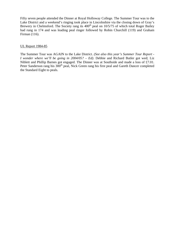Fifty seven people attended the Dinner at Royal Holloway College. The Summer Tour was to the Lake District and a weekend's ringing took place in Lincolnshire via the closing down of Gray's Brewery in Chelmsford. The Society rang its  $400<sup>th</sup>$  peal on  $10/5/75$  of which total Roger Bailey had rung in 174 and was leading peal ringer followed by Robin Churchill (119) and Graham Firman (116).

## UL Report 1984-85

The Summer Tour was AGAIN to the Lake District. *(See also this year's Summer Tour Report - I wonder where we'll be going in 2004/05? – Ed)*. Debbie and Richard Butler got wed; Liz Niblett and Phillip Barnes got engaged. The Dinner was at Southside and made a loss of £7.01. Peter Sanderson rang his 300<sup>th</sup> peal, Nick Green rang his first peal and Gareth Dancer completed the Standard Eight to peals.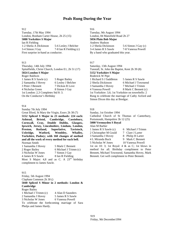## **Peals Rung During the Year**

912

Tuesday, 17th May 1994 London, Bonham Carter House, 2h 25 (15) **5088 Yorkshire S Major** Ian R Fielding 1-2 Sheila A Dickinson 5-6 Lesley J Belcher 3-4 Simon J Gay 7-8 Ian R Fielding (c) First surprise in-hand as conductor.

#### 913

Thursday, 14th July 1994 Spitalfields, Christ Church, London E1, 2h 51 (17) **5024 London S Major** Roger Baldwin 1 James R S Sawle (c) 5 Roger Bailey 2 Samantha J Hovey 6 Lesley J Belcher 3 Peter J Bennett 7 Dickon R Love 4 Nicholas Green 8 Simon J Gay 1st London: 2,3 Completes Std 8: 3. On the Conductor's Birthday

### 914

Sunday 7th July 1994 Great Ilford, St Mary the Virgin, Essex 2h 38 (7) **5152 Spliced S Major in 23 methods: 224 each: Ashtead, Bristol, Cambridge, Cassiobury, Cornwall, Cray, Double Dublin, Glasgow, Ipswich, Jersey, Lincolnshire, Lindum, London, Preston, Rutland, Superlative, Tavistock, Uxbridge, Watford, Wembley, Whalley, Yorkshire, Pudsey; with 160 changes of method and all the work of every method for each bell.** Norman Smith 1 Samantha J Hovey 5 Mark C Bennett 2 Roger Bailey 6 Michael J Trimm (c) 3 Nicholas W Jones 7 Simon J Gay 4 James R S Sawle 8 Ian R Fielding

Most S Major: 4,8 and as C. A  $23<sup>rd</sup>$  birthday compliment to James Sawle.

### 915 Friday, 5th August 1994 Clapham Common 2h 30 () **5040 Spliced S Minor in 2 methods: London & Cambridge** Roger Bailey 1 Michael J Trimm (c) 4 Alan D Saunders 2 Samantha J Hovey 5 James R S Sawle 3 Nicholas W Jones 6 Vanessa Powell To celebrate the forthcoming marriage of Sara Phelps and James Hardy.

916

Tuesday, 9th August 1994 London, 84 Mansfield Road 2h 27 **5056 Plain Bob Major** Andrew Hudson 1-2 Sheila Dickinson 5-6 Simon J Gay (c) 3-4 James R S Sawle 7-8 Vanessa Powell By a band who graduated this year.

#### 917

Saturday, 13th August 1994 Tunstall, St. John the Baptist, Kent 2h 39 (8) **5152 Yorkshire S Major** Roderick W Pipe 1 Richard S J Saddleton 5 James R S Sawle 2 Sheila Dickinson 6 Michael J Townsend 3 Samantha J Hovey 7 Michael J Trimm 4 Vanessa Powell 8 Mark C Bennett (c) 1st Yorkshire: 3,6; 1st Yorkshire on towerbells: 2 Rung to celebrate the marriage of Cathy Axford and Simon Dixon this day at Bredgar.

#### 918

Sunday, 1st October 1994 Cathedral Church of St Thomas of Canterbury, Portsmouth, Hampshire 3h 12 (25) **5000 Vermuyden S Royal** Alan M Barber 1 James R S Sawle (c) 6 Michael J Trimm 2 Christopher M Gould 7 Clare J Larter 3 Samantha J Hovey 8 Philip H Larter 4 L Miranda Buck 9 Mark C Bennett 5 Nicholas W Jones 10 Vanessa Powell 1st on 10: 3; 1st Royal: 4 & as C; 1st blows in method for all. Birthday compliment to Peter Bennett, Michael Townsend, Samantha Hovey, Mark Bennett. Get well compliment to Peter Bennett.

919 Friday, 9th December1994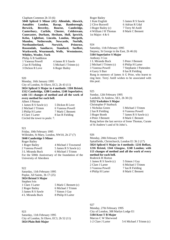#### Clapham Common 2h 33 (6)

**5040 Spliced S Minor (41): Allendale, Alnwick, Annables London, Bacup, Bamborough, Berwick, Beverley, Bourne, Cambridge, Canterbury, Carlisle, Chester, Coldstream, Cunecaster, Durham, Hexham, Hull, Ipswich, Kelso, Lightfoot, Lincoln, London, Morpeth, Munden, Netherseale, Newcastle, Norfolk, Northumberland, Norwich, Primrose, Rossendale, Sandiacre, Stamford, Surfleet, Warkworth, Wearmouth, Wells, Westminster, Whitley, Wooler, York** Philip A B Saddleton 1 Vanessa Powell 4 James R S Sawle 2 Ian R Fielding 5 Michael J Trimm (c) 3 Dickon R Love 6 Roger Bailey

#### 920

Monday, 16th January 1995 City of London, St Olave, EC3, 2h 43 (11)

### **5024 Spliced S Major in 4 methods: 1184 Bristol, 1312 Cambridge, 1280 London, 1248 Superlative; with 111 changes of method and all the work of every method for each bell.**

Albert J Pitman

| 1 James R S Sawle (c)          | 5 Dickon R Love  |  |
|--------------------------------|------------------|--|
| 2 Michael J Trimm              | 6 Vanessa Powell |  |
| 3 Philip H Larter              | 7 Mark C Bennett |  |
| 4 Clare J Larter               | 8 Ian R Fielding |  |
| Circled the tower to peals: 7. |                  |  |

#### 921

Friday, 10th February 1995 Willesden, St Mary, London, NW10, 2h 27 (7) **5040 Cambridge S Minor** Roger Bailey 1 Roger Bailey 4 Michael J Townsend 2 Vanessa Powell 5 James R S Sawle (c) 3 L Miranda Buck 6 Michael J Trimm For the 500th Anniversary of the foundation of the University of Aberdeen

#### 922

Saturday, 11th February 1995 Poplar, All Saints, 3h 17 (25) **5024 Bristol S Major** Stephen Ivin 1 Clare J Larter 5 Mark C Bennett (c) 2 Roger Bailey 6 Michael J Trimm 3 James R S Sawle 7 Simon J Gay 4 L Miranda Buck 8 Philip H Larter

#### 923 Saturday, 11th February 1995 City of London, St Olave, EC3, 2h 52 (11) **5024 Plain Bob Major**

Roger Bailey 1 Kate English 5 James R S Sawle 2 Clive Buswell 6 Adrian R Udal 3 Roger Bailey (c) 7 Terry M Astill 4 William J H Thomas 8 Mark C Bennett 1st Major: 4 & 6

#### 924

Saturday, 11th February 1995 Stepney, St George in the East, 2h 46 (6) **5184 Superlative S Major** Anthony J Cox 1 L Miranda Buck 5 Peter J Bennett 2 Michael J Trimm (c) 6 Philip H Larter 3 Vanessa Powell 7 Stephanie J Pattenden 4 Garry S Barr 8 Ian R Fielding Rung in memory of James A G Prior, who learnt to ring here. Terry Astill wishes to be associated with this peal.

### 925

Sunday, 12th February 1995 Lambeth, St Andrew, SE1, 2h 30 (3) **5152 Yorkshire S Major** Christopher P Starbuck

| 1 Nicholas Green                                     | 5 Michael J Trimm     |  |
|------------------------------------------------------|-----------------------|--|
| 2 Ian R Fielding                                     | 6 Vanessa Powell      |  |
| 3 Roger Booth                                        | 7 James R S Sawle (c) |  |
| 4 Peter J Bennett                                    | 8 Mark C Bennett      |  |
| Rung before the last service of Irene Thomas, Curate |                       |  |
| of St Andrew's and of St John's.                     |                       |  |

#### 926

Monday, 20th February 1995 Spitalfields, Christchurch, London E1 3h 2 (17) **5024 Spliced S Major in 4 methods: 1216 Belfast, 1216 Bristol, 1344 Glasgow, 1248 London; with 113 changes of method and all the work of every method for each bell.** Roderick R Horton

| 1 James R S Sawle (c) | 5 Simon J Gay     |
|-----------------------|-------------------|
| 2 Clare J Larter      | 6 Michael J Trimm |
| 3 Vanessa Powell      | 7 Ian R Fielding  |
| 4 Philip H Larter     | 8 Mark C Bennett  |

#### 927

Monday, 27th February 1995 City of London, 308 Marlyn Lodge E1 **5184 Kent T B Major** Marcus C W Sherwood 1-2 Clare J Larter 5-6 Michael J Trimm (c)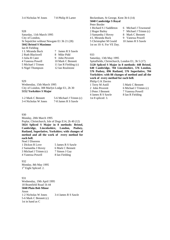| St Sepulchre without Newgate E1 3h 21 (28) |
|--------------------------------------------|
|                                            |
|                                            |
| 7 James R S Sawle                          |
| 8 Mike Pidd                                |
| 9 John Peverett                            |
| 10 Mark C Bennett                          |
| 11 Ian R Fielding (c)                      |
| 12 Ian Roulstone                           |
|                                            |

#### 929

Wednesday, 15th March 1995 City of London, 308 Marlyn Lodge E1, 2h 30 **5152 Yorkshire S Major**

| 1-2 Mark C Bennett   | 5-6 Michael J Trimm (c) |
|----------------------|-------------------------|
| 3-4 Nicholas W Jones | 7-8 James R S Sawle     |

#### 930

Monday, 20th March 1995 Poplar, Christchurch, Isle of Dogs E14, 2h 40 (12) **5024 Spliced S Major in 8 methods: Bristol, Cambridge, Lincolnshire, London, Pudsey, Rutland, Superlative, Yorkshire; with changes of method and all the work of every method for each bell.**

| Noel J Diserens       |                   |
|-----------------------|-------------------|
| 1 Dickon R Love       | 5 James R S Sawle |
| 2 Samantha J Hovey    | 6 Mark C Bennett  |
| 3 Michael J Trimm (c) | 7 Simon J Gay     |
| 4 Vanessa Powell      | 8 Ian Fielding    |

#### 932

Monday, 8th May 1995 1<sup>st</sup> Eight Spliced: 2.

#### 931

Wednesday, 19th April 1995 18 Bramfield Road 1h 44 **5040 Plain Bob Minor** Anon 1-2 Nicholas W Jones 3-4 James R S Sawle 5-6 Mark C Bennett (c) 1st in hand as C

Beckenham, St George, Kent 3h 6 (14) **5040 Cambridge S Royal** Peter Border 1 Richard S J Saddleton 6 Michael J Townsend 2 Roger Bailey 7 Michael J Trimm (c) 3 Samantha J Hovey 8 Mark C Bennett 4 L Miranda Buck 9 Vanessa Powell 5 Christopher M Gould 10 James R S Sawle

- 
- 
- 
- 

#### 933

Saturday, 13th May 1995

1st on 10: 6. For VE Day.

Spitalfields, Christchurch, London E1, 3h 5 (17) **5120 Spliced S Major in 8 methods: 448 Bristol, 640 Cambridge, 704 Lincolnshire, 576 London, 576 Pudsey, 896 Rutland, 576 Superlative, 704 Yorkshire; with 88 changes of method and all the work of every method for each bell.**

Philip G K Davies 1 Terry M Astill 5 Mark C Bennett 3 Peter J Bennett 7 Vanessa Powell 4 James R S Sawle 8 Ian R Fielding 1st 8 spliced: 3.

2 John Peverett 6 Michael J Trimm (c)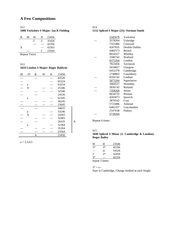# **A Few Compositions**

### 912

**5088 Yorkshire S Major: Ian R Fielding**

| В | M | w                           | н | 23456 |
|---|---|-----------------------------|---|-------|
|   |   | $\mathcal{D}_{\mathcal{A}}$ | 3 | 35426 |
|   |   |                             |   | 42356 |
| X |   |                             |   | 42563 |
|   |   |                             | ∍ | 23564 |

Repeat Twice

### 913

| 5024 London S Major: Roger Baldwin |  |  |
|------------------------------------|--|--|
|------------------------------------|--|--|

| M | IV | B | W | Н | 23456 |   |
|---|----|---|---|---|-------|---|
|   |    |   |   |   | 43526 |   |
|   |    |   |   |   | 65324 |   |
|   | a  |   |   |   | 63254 |   |
|   | X  |   |   |   | 25346 |   |
|   |    |   |   |   | 32546 |   |
|   |    |   |   |   | 24536 |   |
|   | a  |   |   |   | 62345 |   |
|   |    |   |   |   | 36245 |   |
|   |    |   |   |   | 23645 |   |
|   |    |   |   |   | 34625 |   |
|   | a  |   |   |   | 53246 |   |
|   | X  |   |   |   | 24365 |   |
|   |    |   |   |   | 32465 |   |
|   |    |   |   |   | 26435 | A |
|   | a  |   |   |   | 52364 |   |
|   |    |   |   |   | 35264 |   |
|   |    |   |   |   | 23564 |   |
|   |    | A |   |   | 23456 |   |

|--|--|--|--|--|--|

| -914                                    |  |
|-----------------------------------------|--|
| 5152 Spliced S Major (23): Norman Smith |  |

| 2345678        | Yorkshire      |
|----------------|----------------|
| 3578264        | Uxbridge       |
| 7325486        | Cornwall       |
| 4267835        | Double Dublin  |
| 6482573        | <b>Bristol</b> |
| 8654327        | Whalley        |
| 3586742        | Watford        |
| 8375264        | London         |
| 7823456        | Tavistock      |
| 5634827        | Glasgow        |
| 6452378        | Cambridge      |
| 2748863        | Cassiobury     |
| 8356742        | Lindum         |
| 5873264        | Superlative    |
| 3684527        | Wembley        |
| 5836742        | Rutland        |
| 7358264        | Jersey         |
| 8634725        | Preston        |
| 4265873        | Ipswich        |
| 3876542        | Cray           |
| 5723486        | Ashtead        |
| 6482357        | Lincolnshire   |
| 2547638        | Pudsey         |
| <u>5738264</u> |                |

Repeat 6 times.

### 915 **5040 Spliced S Minor (2: Cambridge & London): Roger Bailey**

| W                           | н                                         | 23546 |
|-----------------------------|-------------------------------------------|-------|
| $3*$                        | $3*$                                      | 42356 |
|                             | SS                                        | 54326 |
| $\mathcal{D}_{\mathcal{L}}$ | $3*$                                      | 32456 |
| $3*$                        | _                                         | 42356 |
|                             | $\sim$ $\sim$ $\sim$ $\sim$ $\sim$ $\sim$ |       |

repeat 3 times.

 $3* = s-$ 

Start in Cambridge, Change method at each Single.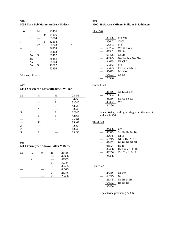916 **5056 Plain Bob Major: Andrew Hudson**

| W | B  | М    | H    | 23456 |  |
|---|----|------|------|-------|--|
|   |    |      | $3*$ | 34256 |  |
|   | X  |      |      | 35264 |  |
|   |    |      | S    | 62534 |  |
|   |    | $2*$ |      | 65243 |  |
|   |    |      |      | 36254 |  |
|   | A  |      |      | 25463 |  |
|   | 2A | S    |      | 35462 |  |
|   | 2A |      |      | 45263 |  |
|   | 2A |      |      | 25364 |  |
|   | 2A | S    |      | 45362 |  |
|   |    |      |      | 23456 |  |

 $3* = s-s$ ;  $2* = s-$ 

### 917 **5152 Yorkshire S Major:Roderick W Pipe**

| М              | W              | Н | 23456 |
|----------------|----------------|---|-------|
|                |                | 2 | 34256 |
|                |                | 2 | 32546 |
|                |                | 3 | 43526 |
|                | $\mathfrak{D}$ |   | 53246 |
| S              |                | S | 62345 |
|                | S              | 3 | 42365 |
|                |                | 2 | 25364 |
| -              | SS             |   | 35462 |
| $\mathfrak{2}$ |                |   | 32564 |
| 2              | S              | S | 63245 |
| S              | 2              |   | 23456 |

#### 918

l,

### **5000 Vermuyden S Royal: Alan M Barber**

| М | IV | H             | 23456 |
|---|----|---------------|-------|
|   |    |               | 42356 |
|   | X  |               | 42563 |
|   |    | 3             | 52364 |
|   |    | $\mathcal{R}$ | 32465 |
|   |    |               | 64523 |
|   |    | 3             | 25346 |
|   |    |               | 23456 |

## 919

### **3600 39 Surprise Minor: Philip A B Saddleton**

#### First 720

|       | Mu Mu          |
|-------|----------------|
| 23456 |                |
| 35642 | CLCI           |
| 54263 | Mo             |
| 63254 | Wo Wh Wh       |
| 63542 | Nb Sa          |
| 63425 | $Ct$ Mo        |
| 46325 | Nw Ak Nw Nw Nw |
| 34625 | Nb Cl Cl       |
| 56342 | Mu             |
| 56423 | Cl Nb Sa Nb Cl |
| 45623 | Mo Mo          |
| 64523 | Ch Ch          |
| 23546 |                |
|       |                |

### Second 720

|       | 23456 Co Li Lo Ke |
|-------|-------------------|
| 23564 | L O               |
|       | 45236 Ke Cu Ke Lo |
| 45362 | We                |
| 34256 |                   |

Repeat twice, adding a single at the end to produce 24356.

### Third 720

| 24356 | Cm                    |
|-------|-----------------------|
| 46523 | Su He He By By        |
| 32645 | Nf Pr                 |
| 63245 | Nf Pr Hu Pr Nf        |
| 63452 | <b>Bk Bk Bk Bk Bk</b> |
| 63524 | Bo Ip                 |
| 32456 | Du Du Yo Du Du        |
| 43256 | Cm Cm Ip Bo Ip        |
| 24356 |                       |

### Fourth 720

| 24356 | No No       |
|-------|-------------|
| 63245 | No          |
| 26345 | No Bc St Bc |
| 64532 | Bc Ro Bc    |
| 32456 |             |

Repeat twice producing 24356.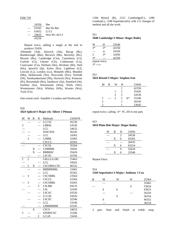#### Fifth 720

| 24356 | Bm              |
|-------|-----------------|
| 63245 | <b>Bm</b> Ne Bm |
| 63452 | Lf Lf           |
| 24635 | Wm Ws Ad Lf     |
| 43256 |                 |

Repeat twice, adding a single at the end to produce 23456.

Allendale (Ad), Alnwick (Ak), Bacup (Bc), Bamborough (Bm), Berwick (Bk), Beverley (Bv), Bourne (Bo), Cambridge (Cm), Canterbury (Ct), Carlisle (Cl), Chester (Ch), Coldstream (Co), Cunecaster (Cu), Durham (Du), Hexham (He), Hull (Hu), Ipswich (Ip), Kelso (Ke), Lightfoot (Lf), Lincoln (Li), London (Lo), Morpeth (Mo), Munden (Mu), Netherseale (Ne), Newcastle (Nw), Norfolk (Nf), Northumberland (Nb), Norwich (No), Primrose (Pr), Rossendale (Ro), Sandiacre (Sa), Stamford (St), Surfleet (Su), Wearmouth (Wm), Wells (We), Westminster (Ws), Whitley (Wh), Wooler (Wo), York (Yo).

One extent each: Annable's London and Warkworth.

920 **5024 Spliced S Major (4): Albert J Pitman**

| M              | W | B                         | H                        | Methods         | 2345678 |
|----------------|---|---------------------------|--------------------------|-----------------|---------|
|                |   |                           |                          | <b>LCCSC</b>    | 45236   |
| 3              |   |                           |                          | <b>LBBSL</b>    | 24536   |
|                |   |                           |                          | <b>LCL</b>      | 54632   |
|                |   |                           |                          | <b>SSSCSSS</b>  | 36245   |
|                |   |                           |                          | LCL             | 24365   |
|                | 3 |                           |                          | <b>LSBBL</b>    | 32465   |
|                |   |                           |                          | <b>CSCCL</b>    | 42563   |
|                |   |                           |                          | <b>CSCSL</b>    | 35264   |
|                |   | X                         |                          | <b>CSBBBB</b>   | 35642   |
|                |   | X                         |                          | <b>BBBBSC</b>   | 35426   |
|                |   |                           |                          | <b>LSCSC</b>    | 42356   |
| $\overline{c}$ | 2 |                           |                          | LBLLLLLBL       | 25463   |
|                |   |                           |                          | <b>LCL</b>      | 34562   |
|                | 2 | X                         |                          | CSCSBSLCSC      | 46532   |
|                |   |                           |                          | <b>BBBBBBBL</b> | 53462   |
|                |   |                           |                          | <b>LCL</b>      | 45362   |
|                | 3 |                           |                          | <b>CSCSBBL</b>  | 23564   |
|                |   |                           |                          | <b>CSCCL</b>    | 52364   |
|                | 3 |                           |                          | <b>CSCSBBL</b>  | 43265   |
|                |   |                           | $\overline{3}$           | <b>LSLBB</b>    | 64235   |
|                |   |                           |                          | <b>LSL</b>      | 52436   |
|                |   |                           |                          | <b>LSCSC</b>    | 43526   |
|                |   |                           | $\overline{\phantom{0}}$ | <b>LCCSC</b>    | 54326   |
|                |   |                           |                          | <b>LSCSC</b>    | 32546   |
|                |   |                           |                          | <b>LCL</b>      | 53246   |
|                |   |                           |                          | <b>LBBBBBBB</b> | 62345   |
|                |   | $\boldsymbol{\mathrm{X}}$ |                          | <b>CSCS</b>     | 24653   |
| 2              |   |                           |                          | SSSBSCSC        | 25346   |
|                |   |                           | $\overline{c}$           | <b>LCLB</b>     | 23456   |

1184 Bristol (B), 1312 Cambridge(C), 1280 London(L), 1248 Superlative(S); with 111 changes of method and all the work.

### 921 **5040 Cambridge S Minor: Roger Bailey**

| W    | н             | 23546 |
|------|---------------|-------|
| $3*$ | $3*$          | 42356 |
|      | SS            | 54326 |
| 2    | $3*$          | 32456 |
| $3*$ |               | 42356 |
|      | repeat twice. |       |

 $3* = s-$ 

#### 922 **5024 Bristol S Major: Stephen Ivin**

| М | в |                | H             |       | 23456 |
|---|---|----------------|---------------|-------|-------|
|   |   |                |               |       | 42356 |
|   |   |                |               |       | 35426 |
|   |   | 2              | 2             |       | 24536 |
| 1 |   | $\mathfrak{D}$ | $\mathcal{L}$ | $A^*$ | 25346 |
| 2 |   |                |               |       | 26543 |
|   |   |                |               |       | 23645 |

repeat twice, calling A\* W, 2H in one part.

### 923

### **5024 Plain Bob Major: Roger Bailey**

| R | H | 23456 |
|---|---|-------|
|   | 2 | 24536 |
| X | 6 | 43265 |
|   |   | 26435 |
| X | 6 | 63254 |
|   | S | 52634 |
| X | 6 | 23546 |

#### Repeat Once.

### 924 **5184 Superlative S Major: Anthony J Cox**

| В | М | W | H | 25364 |
|---|---|---|---|-------|
|   |   |   |   | 35462 |
|   |   |   | S | 53624 |
|   | S | 6 |   | 43625 |
|   |   |   |   | 56324 |
|   |   | S |   | 26354 |
|   | S |   |   | 46352 |
|   |   |   |   | 36254 |
|   |   |   |   |       |

2 part. Start and finish at treble snap.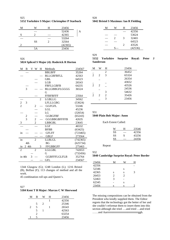925 **5152 Yorkshire S Major: Christopher P Starbuck**

| М | W         | H | 23456   |  |
|---|-----------|---|---------|--|
|   |           |   | 52436   |  |
| S |           |   | 42365   |  |
|   |           |   | 53264   |  |
|   | <b>SS</b> | 2 | 32564   |  |
|   |           |   | (42365) |  |
|   | 5A        |   | 23456   |  |
|   |           |   |         |  |

#### 926

#### **5024 Spliced S Major (4): Roderick R Horton**

| M              | B                       |   | V W            | Η              | Methods              | 234567   |
|----------------|-------------------------|---|----------------|----------------|----------------------|----------|
|                |                         |   |                |                | <b>BBLBFF</b>        | 35264    |
|                |                         |   |                |                | <b>BLLGBFBFLL</b>    | 42563    |
|                |                         |   |                |                | GBL                  | 64523    |
|                |                         |   |                |                | <b>LGB</b>           | 26543    |
|                |                         |   |                |                | <b>FBFLLGBFB</b>     | 64235    |
|                | 3                       |   |                |                | <b>BLLGBBGFLGGGG</b> | 36524    |
|                |                         |   |                |                | G                    |          |
|                |                         |   |                |                | <b>FFBFBFFF</b>      | 23564    |
|                |                         |   |                | $\overline{c}$ | <b>LGBLLG</b>        | 34562    |
| $\overline{c}$ | 3                       |   |                |                | <b>LFLLLGBG</b>      | (53624)  |
| $\overline{2}$ |                         |   | $\overline{2}$ |                | <b>GGFGFL</b>        | 53246    |
|                |                         |   |                |                | LGL                  | 45236    |
|                |                         |   |                |                | LG                   | (32654)  |
|                | $\overline{\mathbf{c}}$ |   |                |                | <b>GGBGFBF</b>       | (65243)  |
|                | $\overline{3}$          |   | $\overline{c}$ |                | <b>GGGBBGBFFFFB</b>  | 42635    |
| 3              |                         |   | $\overline{c}$ |                | <b>LBBGBL</b>        | 23645    |
|                |                         |   |                |                | LGF                  | 46532    |
|                |                         |   |                |                | <b>BFBB</b>          | (63425)  |
| in             |                         |   |                |                | <b>GFLFF</b>         | (723465) |
|                |                         |   |                |                | <b>GBLF</b>          | 273564   |
| in             |                         |   | $\overline{2}$ |                | <b>LLBLGL</b>        | (742365) |
|                | 4th                     |   |                |                | BG                   | (625734) |
| in             | 2 4th                   |   |                | 3              | <b>FFGBBGFF</b>      | 275463   |
| $\overline{2}$ |                         |   | $\overline{2}$ |                | <b>LGLGBL</b>        | 742653   |
|                |                         |   |                |                | G                    | (732456) |
| in 4th         |                         | 3 |                |                | <b>GGBFFFLGLFLB</b>  | 352764   |
|                |                         |   |                |                | <b>GFL</b>           | 234567   |

1344 Glasgow (G); 1248 London (L); 1216 Bristol (B), Belfast (F); 113 changes of method and all the work.

45 combination roll ups and Queen's.

### 927

#### **5184 Kent T B Major: Marcus C W Sherwood**

| М              | в              |                       | H | 23456 |
|----------------|----------------|-----------------------|---|-------|
|                |                |                       |   | 42356 |
|                | 5              | $\mathcal{D}_{\cdot}$ |   | 25346 |
| $\mathfrak{D}$ | 5              |                       |   | 26543 |
|                | 5              |                       |   | 42563 |
|                | $\mathfrak{D}$ |                       |   | 63254 |
|                | 5              |                       |   | 23456 |

### 928 **5042 Bristol S Maximus: Ian R Fielding**

| М |                             | H              | 23456   |
|---|-----------------------------|----------------|---------|
|   |                             |                | 42356   |
|   |                             |                | 53624   |
|   | $\mathcal{D}_{\mathcal{L}}$ | 3              | 32465   |
|   |                             |                | 64523   |
|   |                             | $\mathfrak{D}$ | 43526   |
|   |                             |                | (42536) |

### 929

**5152 Yorkshire Surprise Royal: Peter J Sanderson**

| М              | Ŵ              | H              | 23456 |
|----------------|----------------|----------------|-------|
|                |                | $\overline{2}$ | 36452 |
| $\overline{2}$ | $\mathfrak{D}$ | 3              | 65324 |
|                |                |                | 26354 |
|                |                |                | 43652 |
| $\overline{2}$ | $\mathfrak{D}$ |                | 43526 |
|                |                |                | 24536 |
|                |                | 3              | 54632 |
| $\overline{2}$ | $\mathfrak{D}$ | $\overline{2}$ | 35426 |
|                |                | 3              | 23456 |
|                |                |                |       |

### 931

### **5040 Plain Bob Major: Anon**

#### Each Extent Called:

| W  | H | 23546 |
|----|---|-------|
| SS |   | 42356 |
| SS | S | 43256 |
| SS |   | 24356 |

#### Repeat

932

#### **5040 Cambridge Surprise Royal: Peter Border**

| 23456 | М              |                | Н |
|-------|----------------|----------------|---|
| 42356 |                |                |   |
| 52346 |                | S              |   |
| 42365 | S              | S              | 3 |
| 26453 | $\mathfrak{D}$ | $\mathfrak{D}$ |   |
| 52463 | $\mathcal{R}$  |                |   |
| 62345 |                | S              |   |
| 23456 | S              | S              |   |

The missing compositions can be obtained from the President who kindly supplied them. The Editor regrets that the technology got the better of her and she couldn't reformat them to insert them into this section although she tried ….and tried …and tried ……and Aarrrrrrrrrrrrrrrrrrrrrrrrrrrrrrrrrggh.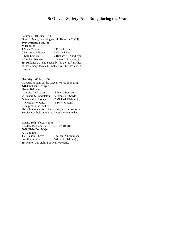## **St Olave's Society Peals Rung during the Year**

Saturday, 11th June 1994 Great St Mary, Sawbridgeworth, Herts 3h 08 (24) **5024 Rutland S Major** M Hodgson 1 Mark C Bennett 5 Peter J Bennett 2 Samantha J Hovey 6 Garry S Barr<br>3 Kate English 7 Richard S J S 7 Richard S J Saddleton 4 Stephen Bennett 8 James R S Sawle(c) 1st Rutland: 2,3,4,5. Specially for the  $50<sup>th</sup>$  Birthday of Rosemary Bennett, mother of the  $4<sup>th</sup>$  and  $5<sup>th</sup>$ ringers.

Saturday, 30<sup>th</sup> July 1994 St Peter, Hinton-on-the-Green, Worcs 2h51 (10) **5184 Belfast S. Major** Roger Baldwin 1 Jessica J Abraham 5 Peter J Bennett 2 Richard S J Saddleton 6 James R S Sawle 3 Samantha J Hovey 7 Michael J Trimm (c) 4 Nicholas W Jones 8 Terry M Astill First peal in the method; 3, 5. Rung in memory of John Walton, whose memorial service was held at Worle, Avon later in the day.

Friday, 10th February 1995 London, Bonham Carter House, 2h 10 (8) **5056 Plain Bob Major** A R Knights 1-2 Dickon R Love 5-6 Paul A Cammiade 3-4 Simon J Gay 7-8 Ian R Fielding(c) 1st peal on this eight. For Peal Weekend.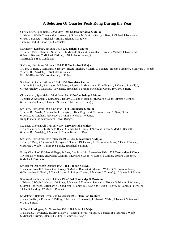## **A Selection Of Quarter Peals Rung During the Year**

Christchurch, Spitalfields, 22nd May 1994 **1250 Superlative S Major** 1:Edward J Webb, 2:Samantha J Hovey (c), 3:Diane M Banks, 4:Garry S Barr, 5:Michael J Townsend, 6:Peter J Bennett, 7:Michael J Trimm, 8:James R S Sawle. 1st in method: 3; 1st on 8 as Conductor.

St Andrew, Lambeth, 5th June 1994 **1280 Bristol S Major** 1:Garry S Barr, 2:James R S Sawle, 3: L Miranda Buck, 4:Samantha J Hovey, 5:Michael J Townsend, 6:Peter J Bennett, 7:Michael J Trimm, 8:Nicholas W Jones(c). 1st Bristol: 5 & as Conductor

St Olave, Hart Street 6th June 1994 **1250 Yorkshire S Major** 1:Garry S Barr, 2:Samantha J Hovey, 3:Kate English, 4:Mark C Bennett, 5:Peter J Bennett, 6:Edward J Webb, 7:James R S Sawle(c), 8:Nicholas W Jones. Half Muffled for 50th Anniversary of D Day.

St Clement Danes, 12th June 1994 **1259 Grandsire Caters** 1:James R S Sawle, 2:Margaret M Macey, 3:Jessica A Abraham, 4: Kate English, 5:Vanessa Powell(c), 6:Roger Bailey, 7:Michael J Townsend, 8:Michael J Trimm, 9:Nicholas Green, 10:Garry S Barr.

Christchurch, Spitalfields, 26nd June 1994 **1250 Cambridge S Major** 1:Jessica A Abraham, 2:Samantha J Hovey, 3:Diane M Banks, 4:Edward J Webb, 5:Peter J Bennett, 6:Nicholas W Jones, 7:James R S Sawle, 8:Michael J Trimm(c).

St Olave, Hart Street 30th June 1994 **1250 Cambridge S Major** 1:James R S Sawle, 2:Samantha J Hovey(c), 3:Kate English, 4:Nicholas Green, 5: Garry S Barr, 6: Jessica A Abraham, 7:Michael J Trimm, 8:Nicholas W Jones. Rung to mark the centenary of Tower Bridge.

St James, Clerkenwell, 17th July 1994 **1280 Bristol S Major** 1:Nicholas Green, 2:L Miranda Buck, 3:Samantha J Hovey, 4:Nicholas Green, 5:Mark C Bennett, 6:James R S Sawle(c), 7:Michael J Trimm, 8:Garry S Barr.

St Olave, Hart Street, 8th September 1994 **1250 Lincolnshire S Major** 1:Garry S Barr, 2:Samantha J Hovey(c), 3:Sheila J Dickenson, 4: Nicholas W Jones, 5:Peter J Bennett, 6:Edward J Webb, 7:James R S Sawle, 8:Michael J Trimm.

Priory Church of SS Mary & Bega, St Bees, Cumbria, 18th Spetember 1994 **1320 Cambridge S Minor** 1:Nicholas W Jones, 2:Rowland Gwillim, 3:Edward J Webb, 4: Russell J Collins, 5:Mark C Bennett, 6:Michael J Trimm(c).

St Clement Danes, 9th October 1994 **1282 London S Royal** 1:Vanessa Powell, 2:Samantha J Hovey, 3:Mark C Bennett, 4:Edward J Webb, 5:Nicholas W Jones, 6:Christopher M Gould, 7:Clare J Larter, 8: Philip H Larter, 9:Michael J Trimm(c), 10:James R S Sawle.

Southwark Cathedral, 26th October 1994 **1344 Cambridge S Maximus** 1:Edward J Webb, 2:Nicholas W Jones, 3:Michael J Trimm, 4:Samantha J Hovey, 5:Edmund J Wratten, 6:Simon Robertson, 7:Richard S J Saddleton, 8:James R S Sawle, 9:Dickon R Love, 10:Vanessa Powell(c), 11:Ian R Fielding, 12:Mark C Bennett.

St Matthew, Bethnal Green, 2nd November 1994 **Plain Bob Doubles** 1:Kate English, 2:Rosalind S Palfrey, 3:Michael J Townsend, 4:Edward J Webb, 5:James R S Sawle(c), 6:Garry S Barr.

St Botolph, Aldgate, 7th November 1994 **1280 Bristol S Major** 1: Michael J Townsend, 2:Garry S Barr, 3:Vanessa Powell, 4:Mark C Bennett(c), 5:Edward J Webb, 6:Michael J Trimm, 7:Ian R Fielding, 8:James R S Sawle.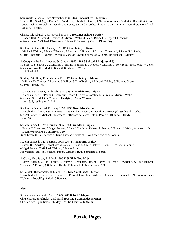Southwark Cathedral, 16th November 1994 **1344 Lincolnshire S Maximus**

1:James R S Sawle(c), 2:Philip A B Saddleton, 3:Nicholas Green, 4:Nicholas W Jones, 5:Mark C Bennett, 6: Clare J Larter, 7:Clive Buswell, 8:Lucinda J C Reeve, 9:David Woodward, 10:Michael J Trimm, 11:Andrew I Blacklock, 12:Philip H Larter.

Chelsea Old Church, 26th November 1994 **1250 Lincolnshire S Major** 1:Robert Hart, 2:Richard A Pearce, 3:Edward J Webb, 4:Peter J Bennett, 5:Rupert Cheeseman, 6:Steve Jones, 7:Michael J Townsend, 8:Mark C Bennett(c). On UL Dinner Day.

St Clement Danes, 8th January 1995 **1282 Cambridge S Royal**

1:Michael J Trimm, 2:Mark C Bennett, 3:Samantha J Hovey, 4:Michael J Townsend, 5:James R S Sawle, 6:Peter J Bennett, 7:Edward J Webb, 8:Vanessa Powell 9:Nicholas W Jones, 10:Michael J Wigney.

St George in the East, Stepney, 8th January 1995 **1280 8 Spliced S Major (std 8)** 1:James R S Sawle(c), 2:Michael J Trimm, 3:Samanth J Hovey, 4:Michael J Townsend, 5:Nicholas W Jones, 6:Vanessa Powell, 7:Mark C Bennett, 8:Edward J Webb. 1st Spliced: 4,8.

St Mary Atte Bow, 11th February 1995 **1296 Cambridge S Minor** 1:William J H Thomas, 2:Rosalind S Palfrey, 3:Kate English, 4:Edward J Webb, 5:Nicholas Green, 6:James J Hardy (c).

St James, Bermondsey, 11th February 1995 **1274 Plain Bob Triples** 1:Nicholas Green, 2:Poppy C Chambers, 3:Sara J Hardy, 4:Rosalind S Palfrey, 5:Edward J Webb, 6:Richard S J Saddleton, 7:James J Hardy(c), 8:Steve Warren. 1st on 8: 8; 1st Triples: 2 & 4.

St Clement Danes, 12th February 1995 **1259 Grandsire Caters** 1:Rosalind S Palfrey, 2:Sarah J Hardy, 3:Samantha J Hovey, 4:Lucinda J C Reeve (c), 5:Edward J Webb, 6:Nigel Pointer, 7:Michael J Townsend, 8:Richard A Pearce, 9:John Peverett, 10:James J Hardy. 1st on 10: 1.

St John Lambeth, 12th February 1995 **1288 Grandsire Triples** 1:Poppy C Chambers, 2:Nigel Pointer, 3:Sara J Hardy, 4:Richard A Pearce, 5:Edward J Webb, 6:James J Hardy, 7:David Woodward(c), 8:Garry S Barr. Rung before the last service of Irene Thomas: Curate of St Andrew's and of St John's.

St John Lambeth, 14th February 1995 **1264 St Valentines Major** 1:James R S Sawle(c), 2:Nicholas W Jones, 3:Nicholas Green, 4:Peter J Bennett, 5:Mark C Bennett, 6:Nigel Pointer, 7:Michael J Trimm, 8:James J Hardy. For Vanessa, Jessica, Rosalind, Poppy, Caroline, Ruth, Samantha & Sarah.

St Olave, Hart Street, 9<sup>th</sup> March 1995 **1280 Plain Bob Major** 1:Steve Warren, 2:Roz Palfrey, 3:Poppy C Chambers, 4:Sara Hardy, 5:Michael Townsend, 6:Clive Buswell, 7: Richard A Pearce(c), 8: James J Hardy.  $1<sup>st</sup>$  Major; 1.  $1<sup>st</sup>$  Major inside; 2,3.

St Botolph, Bishopsgate, 21 March 1995 **1282 Cambridge S Major** 1:Rosalind S Palfrey, 2:Peter J Bennett, 3:Edward J Webb, 4:J Adams, 5:Michael J Townsend, 6:Nicholas W Jones, 7:Vanessa Powell(c), 8:Mark C Bennett.

Also:

St Lawrence, Jewry, 6th March 1995 **1280 Bristol S Major** Christchurch, Spitalfields, 23rd April 1995 **1272 Cambridge S Minor** Christchurch, Spitalfields, 8th May 1995 **1280 Bristol S Major**

# **Puzzle Pages**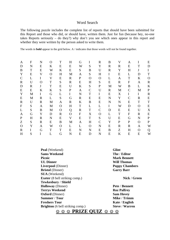## Word Search

The following puzzle includes the complete list of reports that should have been submitted for this Report and those who did, or should have, written them. Just for fun (because hey, no-one takes Reports seriously – do they?) why don't you see which ones appear in this report and whether they were written by the person asked to write them.

The words in **bold** appear in the grid below. A / indicates that those words will not be found together.

| A            | $\mathbf F$  | N                         | O                         | T            | H           | G           |                  | $\mathbf R$    | B           | V            | Α                         | I           | E              |
|--------------|--------------|---------------------------|---------------------------|--------------|-------------|-------------|------------------|----------------|-------------|--------------|---------------------------|-------------|----------------|
| D            | N            | E                         | K                         | E            | E           | W           | S                | Y              | $\mathbf R$ | $\mathbf R$  | E                         | T           | D              |
| B            | T            | E                         | W                         | K            | ${\bf E}$   | S           | B                | U              | $\mathbf R$ | Y            | H                         | J           | $\mathbf I$    |
| Y            | ${\bf E}$    | $\boldsymbol{\mathrm{V}}$ | $\mathbf O$               | H            | M           | A           | S                | H              | $\bf{I}$    | E            | L                         | D           | T              |
| $\mathbf C$  | L            | $\bf{I}$                  | $\ensuremath{\mathsf{V}}$ | ${\bf E}$    | $\mathbf R$ | ${\bf P}$   | $\mathbf O$      | $\overline{O}$ | L           | A            | $\mathbf T$               | K           | $\overline{O}$ |
| $\mathbf R$  | U            | $\mathbf O$               | T                         | ${\bf S}$    | $\mathbf R$ | E           | H                | S              | ${\bf E}$   | $\mathbf R$  | $\boldsymbol{\mathrm{F}}$ | A           | $\mathbf R$    |
| $\mathbf D$  | $\mathbb{R}$ | J                         | $\mathbf T$               | E            | U           | K           | ${\bf S}$        | ${\bf P}$      | M           | W            | B                         | L           | K              |
| E            | E            | K                         | K                         | S            | $\mathbf P$ | A           | $\mathsf{C}$     | U              | $\mathbf R$ | M            | $\mathcal{C}$             | M           | ${\bf P}$      |
| $\mathbf Y$  | M            | $\mathbf I$               | G                         | L            | $\mathbf I$ | N           | $\mathbf T$      | I              | ${\bf E}$   | X            | $\mathbf I$               | $\mathbf I$ | $\mathbf R$    |
| E            | M            | $\mathbf R$               | L                         | S            | G           | $\mathbf R$ | E                | E              | $\mathbf N$ | Y            | $\overline{C}$            | $\mathbf R$ | E              |
| $\mathbf R$  | U            | $\mathbf R$               | M                         | A            | $\mathbf R$ | K           | $\boldsymbol{B}$ | ${\bf E}$      | $\mathbf N$ | $\mathbf N$  | E                         | T           | $\mathbf T$    |
| ${\bf F}$    | ${\bf S}$    | $\mathbf{A}$              | M                         | $\mathbf{O}$ | H           | T           | L                | L              | $\mathbf I$ | W            | D                         | $\mathbf O$ | E              |
| L            | ${\bf S}$    | B                         | M                         | $\mathbf O$  | Q           | $\mathbf R$ | $\mathbf T$      | $\mathsf{C}$   | D           | ${\bf E}$    | E                         | U           | X              |
| A            | G            | Y                         | D                         | $\mathbf R$  | $\mathbf O$ | ${\bf F}$   | X                | $\mathbf O$    | L           | $\mathbf T$  | F                         | $\mathbf R$ | ${\bf E}$      |
| ${\bf P}$    | H            | $\mathbf R$               | N                         | E            | $\mathbf V$ | E           | $\mathbf T$      | S              | U           | E            | G                         | N           | ${\bf P}$      |
| Z            | S            | $\mathbb{R}$              | E                         | B            | M           | A           | H                | $\mathcal{C}$  | Y           | $\mathbf{P}$ | ${\bf P}$                 | $\Omega$    | $\mathbf{P}$   |
| $\mathbf{O}$ | Y            | A                         | W                         | $\Omega$     | L           | L           | $\Omega$         | N              | E           | $\mathbf R$  | R                         | A           | W              |
| $\mathbf R$  | I            | G                         | T                         | T            | E           | N           | N                | ${\bf E}$      | B           | Z            | H                         | $\mathbf O$ | Q              |
| H            | S            | I                         | L                         | G            | N           | E           | D                | N              | E           | K            | E                         | E           | W              |
|              |              |                           |                           |              |             |             |                  |                |             |              |                           |             |                |

**Peal** (Weekend) **Glint Sams Weekend The / Editor** Picnic **Mark Bennett UL Dinner Will Thomas Liverpool** (Dinner) **Poppy Chambers Bristol** (Dinner) **Garry Barr SUA** (Weekend) **Exeter** (8 bell striking comp.) **Nick** / **Green Tewkesbury** / **Shield Holloway** (Dinner) **Pete** / **Bennett Terrys Weekend Roz Palfrey Oxford** (Dinner) **Sam Hovey Summer / Tour** Mike / **Trimm Freshers Tour** Kate / **English Brighton** (6 bell striking comp.) **Steve** / **Warren**

# ☺☺☺ **PRIZE QUIZ** ☺☺☺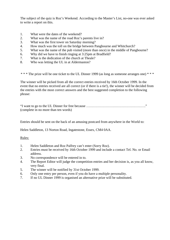The subject of the quiz is Roz's Weekend. According to the Master's List, no-one was ever asked to write a report on this.

- 1. What were the dates of the weekend?
- 2. What was the name of the road Roz's parents live in?
- 3. What was the first tower on Saturday morning?
- 4. How much was the toll on the bridge between Pangbourne and Whitchurch?
- 5. What was the name of the pub visited (more than once) in the middle of Pangbourne?
- 6. Why did we have to finish ringing at 3:25pm at Bradfield?
- 7. What is the dedication of the church at Theale?
- 8. Who was letting the UL in at Aldermaston?

\* \* \* The prize will be one ticket to the UL Dinner 1999 (as long as someone arranges one) \* \* \*

The winner will be picked from all the correct entries received by 16th October 1999. In the event that no entries received are all correct (or if there is a tie!), the winner will be decided from the entries with the most correct answers and the best suggested completion to the following phrase:

"I want to go to the UL Dinner for free because ……………………………………………." (complete in no more than ten words)

Entries should be sent on the back of an amusing postcard from anywhere in the World to:

Helen Saddleton, 13 Norton Road, Ingatestone, Essex, CM4 0AA.

Rules:

- 1. Helen Saddleton and Roz Palfrey can't enter (Sorry Roz).
- 2. Entries must be received by 16th October 1999 and include a contact Tel. No. or Email address.
- 3. No correspondence will be entered in to.
- 4. The Report Editor will judge the competition entries and her decision is, as you all know, very final.
- 5. The winner will be notified by 31st October 1999.
- 6. Only one entry per person, even if you do have a multiple personality.
- 7. If no UL Dinner 1999 is organised an alternative prize will be substituted.